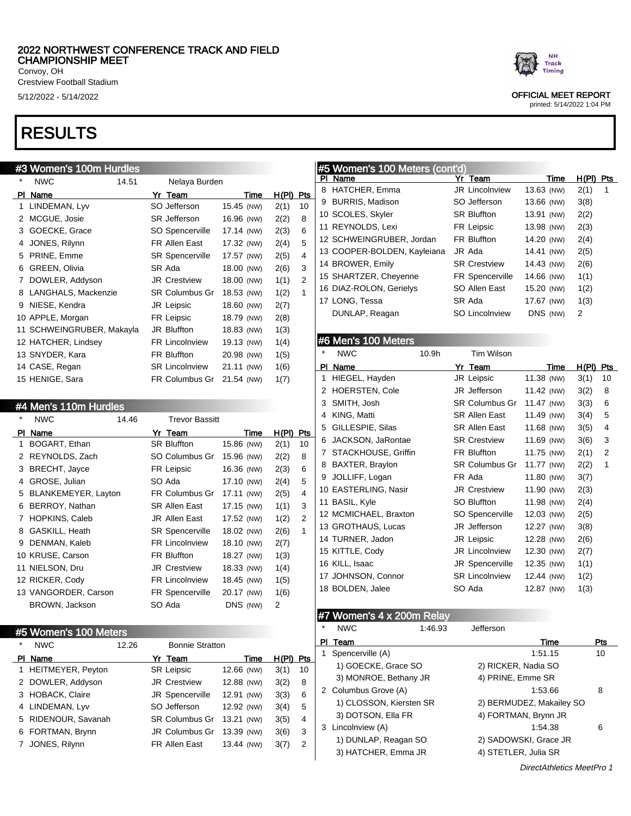Crestview Football Stadium

# RESULTS

## #3 Women's 100m Hurdles

| *  | <b>NWC</b>                | 14.51 | Nelaya Burden          |            |      |       |     |
|----|---------------------------|-------|------------------------|------------|------|-------|-----|
| ΡI | Name                      |       | Yr Team                |            | Time | H(PI) | Pts |
| 1  | LINDEMAN, Lyv             |       | SO Jefferson           | 15.45 (NW) |      | 2(1)  | 10  |
| 2  | MCGUE, Josie              |       | <b>SR</b> Jefferson    | 16.96 (NW) |      | 2(2)  | 8   |
| 3  | GOECKE, Grace             |       | SO Spencerville        | 17.14 (NW) |      | 2(3)  | 6   |
| 4  | JONES, Rilynn             |       | FR Allen East          | 17.32 (NW) |      | 2(4)  | 5   |
| 5  | PRINE, Emme               |       | <b>SR Spencerville</b> | 17.57 (NW) |      | 2(5)  | 4   |
| 6  | GREEN, Olivia             |       | SR Ada                 | 18.00 (NW) |      | 2(6)  | 3   |
| 7  | DOWLER, Addyson           |       | <b>JR Crestview</b>    | 18.00 (NW) |      | 1(1)  | 2   |
| 8  | LANGHALS, Mackenzie       |       | <b>SR Columbus Gr</b>  | 18.53 (NW) |      | 1(2)  | 1   |
| 9  | NIESE, Kendra             |       | <b>JR Leipsic</b>      | 18.60 (NW) |      | 2(7)  |     |
|    | 10 APPLE, Morgan          |       | FR Leipsic             | 18.79 (NW) |      | 2(8)  |     |
|    | 11 SCHWEINGRUBER, Makayla |       | <b>JR Bluffton</b>     | 18.83 (NW) |      | 1(3)  |     |
|    | 12 HATCHER, Lindsey       |       | <b>FR Lincolnview</b>  | 19.13 (NW) |      | 1(4)  |     |
|    | 13 SNYDER, Kara           |       | <b>FR Bluffton</b>     | 20.98 (NW) |      | 1(5)  |     |
|    | 14 CASE, Regan            |       | <b>SR Lincolnview</b>  | 21.11 (NW) |      | 1(6)  |     |
|    | 15 HENIGE, Sara           |       | <b>FR Columbus Gr</b>  | 21.54 (NW) |      | 1(7)  |     |
|    |                           |       |                        |            |      |       |     |

### #4 Men's 110m Hurdles

| *  | <b>NWC</b>            | 14.46 | <b>Trevor Bassitt</b>  |            |      |       |     |
|----|-----------------------|-------|------------------------|------------|------|-------|-----|
| ΡI | Name                  |       | Yr Team                |            | Time | H(PI) | Pts |
| 1  | BOGART, Ethan         |       | <b>SR Bluffton</b>     | 15.86 (NW) |      | 2(1)  | 10  |
| 2  | REYNOLDS, Zach        |       | SO Columbus Gr         | 15.96 (NW) |      | 2(2)  | 8   |
| 3  | BRECHT, Jayce         |       | FR Leipsic             | 16.36 (NW) |      | 2(3)  | 6   |
| 4  | GROSE, Julian         |       | SO Ada                 | 17.10 (NW) |      | 2(4)  | 5   |
| 5  | BLANKEMEYER, Layton   |       | <b>FR Columbus Gr</b>  | 17.11 (NW) |      | 2(5)  | 4   |
| 6  | BERROY, Nathan        |       | <b>SR Allen East</b>   | 17.15 (NW) |      | 1(1)  | 3   |
| 7  | <b>HOPKINS, Caleb</b> |       | JR Allen East          | 17.52 (NW) |      | 1(2)  | 2   |
| 8  | GASKILL, Heath        |       | <b>SR Spencerville</b> | 18.02 (NW) |      | 2(6)  | 1   |
| 9  | DENMAN, Kaleb         |       | <b>FR Lincolnview</b>  | 18.10 (NW) |      | 2(7)  |     |
|    | 10 KRUSE, Carson      |       | <b>FR Bluffton</b>     | 18.27 (NW) |      | 1(3)  |     |
|    | 11 NIELSON, Dru       |       | <b>JR Crestview</b>    | 18.33 (NW) |      | 1(4)  |     |
|    | 12 RICKER, Cody       |       | <b>FR Lincolnview</b>  | 18.45 (NW) |      | 1(5)  |     |
|    | 13 VANGORDER, Carson  |       | <b>FR Spencerville</b> | 20.17 (NW) |      | 1(6)  |     |
|    | BROWN, Jackson        |       | SO Ada                 | DNS (NW)   |      | 2     |     |
|    |                       |       |                        |            |      |       |     |

## #5 Women's 100 Meters

| $\star$ | <b>NWC</b>          | 12.26 | <b>Bonnie Stratton</b> |            |       |     |
|---------|---------------------|-------|------------------------|------------|-------|-----|
|         | PI Name             |       | Yr Team                | Time       | H(PI) | Pts |
|         | 1 HEITMEYER, Peyton |       | <b>SR Leipsic</b>      | 12.66 (NW) | 3(1)  | 10  |
|         | 2 DOWLER, Addyson   |       | <b>JR Crestview</b>    | 12.88 (NW) | 3(2)  | 8   |
|         | 3 HOBACK, Claire    |       | JR Spencerville        | 12.91 (NW) | 3(3)  | 6   |
|         | 4 LINDEMAN, Lyv     |       | SO Jefferson           | 12.92 (NW) | 3(4)  | 5   |
|         | 5 RIDENOUR, Savanah |       | <b>SR Columbus Gr</b>  | 13.21 (NW) | 3(5)  | 4   |
|         | 6 FORTMAN, Brynn    |       | JR Columbus Gr         | 13.39 (NW) | 3(6)  | 3   |
|         | 7 JONES, Rilynn     |       | FR Allen East          | 13.44 (NW) | 3(7)  | 2   |



## 5/12/2022 - 5/14/2022 OFFICIAL MEET REPORT

printed: 5/14/2022 1:04 PM

## #5 Women's 100 Meters (cont'd)

| ΡI | Name                        | Yr Team                | Time       | H(PI)<br>Pts |
|----|-----------------------------|------------------------|------------|--------------|
| 8  | HATCHER, Emma               | <b>JR Lincolnview</b>  | 13.63 (NW) | 2(1)<br>1    |
| 9  | <b>BURRIS, Madison</b>      | SO Jefferson           | 13.66 (NW) | 3(8)         |
|    | 10 SCOLES, Skyler           | <b>SR Bluffton</b>     | 13.91 (NW) | 2(2)         |
|    | 11 REYNOLDS, Lexi           | FR Leipsic             | 13.98 (NW) | 2(3)         |
|    | 12 SCHWEINGRUBER, Jordan    | <b>FR Bluffton</b>     | 14.20 (NW) | 2(4)         |
|    | 13 COOPER-BOLDEN, Kayleiana | JR Ada                 | 14.41 (NW) | 2(5)         |
|    | 14 BROWER, Emily            | <b>SR Crestview</b>    | 14.43 (NW) | 2(6)         |
|    | 15 SHARTZER, Cheyenne       | <b>FR Spencerville</b> | 14.66 (NW) | 1(1)         |
|    | 16 DIAZ-ROLON, Gerielys     | SO Allen East          | 15.20 (NW) | 1(2)         |
|    | 17 LONG, Tessa              | SR Ada                 | 17.67 (NW) | 1(3)         |
|    | DUNLAP, Reagan              | SO Lincolnview         | DNS (NW)   | 2            |

# #6 Men's 100 Meters

| $\star$ | <b>NWC</b>            | 10.9 <sub>h</sub> | Tim Wilson            |            |             |                |
|---------|-----------------------|-------------------|-----------------------|------------|-------------|----------------|
| PI      | Name                  |                   | Yr Team               | Time       | $H(PI)$ Pts |                |
| 1       | HIEGEL, Hayden        |                   | JR Leipsic            | 11.38 (NW) | 3(1)        | 10             |
| 2       | <b>HOERSTEN, Cole</b> |                   | JR Jefferson          | 11.42 (NW) | 3(2)        | 8              |
| 3       | SMITH, Josh           |                   | <b>SR Columbus Gr</b> | 11.47 (NW) | 3(3)        | 6              |
| 4       | KING, Matti           |                   | <b>SR Allen East</b>  | 11.49 (NW) | 3(4)        | 5              |
| 5       | GILLESPIE, Silas      |                   | SR Allen East         | 11.68 (NW) | 3(5)        | 4              |
| 6       | JACKSON, JaRontae     |                   | <b>SR Crestview</b>   | 11.69 (NW) | 3(6)        | 3              |
| 7       | STACKHOUSE, Griffin   |                   | <b>FR Bluffton</b>    | 11.75 (NW) | 2(1)        | $\overline{2}$ |
| 8       | BAXTER, Braylon       |                   | <b>SR Columbus Gr</b> | 11.77 (NW) | 2(2)        | 1              |
| 9       | JOLLIFF, Logan        |                   | FR Ada                | 11.80 (NW) | 3(7)        |                |
|         | 10 EASTERLING, Nasir  |                   | <b>JR Crestview</b>   | 11.90 (NW) | 2(3)        |                |
|         | 11 BASIL, Kyle        |                   | SO Bluffton           | 11.98 (NW) | 2(4)        |                |
|         | 12 MCMICHAEL, Braxton |                   | SO Spencerville       | 12.03 (NW) | 2(5)        |                |
|         | 13 GROTHAUS, Lucas    |                   | JR Jefferson          | 12.27 (NW) | 3(8)        |                |
|         | 14 TURNER, Jadon      |                   | JR Leipsic            | 12.28 (NW) | 2(6)        |                |
|         | 15 KITTLE, Cody       |                   | <b>JR Lincolnview</b> | 12.30 (NW) | 2(7)        |                |
|         | 16 KILL, Isaac        |                   | JR Spencerville       | 12.35 (NW) | 1(1)        |                |
|         | 17 JOHNSON, Connor    |                   | <b>SR Lincolnview</b> | 12.44 (NW) | 1(2)        |                |
|         | 18 BOLDEN, Jalee      |                   | SO Ada                | 12.87 (NW) | 1(3)        |                |
|         |                       |                   |                       |            |             |                |

## #7 Women's 4 x 200m Relay

| $\star$ | <b>NWC</b>              | 1:46.93 | Jefferson            |                          |     |
|---------|-------------------------|---------|----------------------|--------------------------|-----|
| РI      | Team                    |         |                      | Time                     | Pts |
|         | Spencerville (A)        |         |                      | 1:51.15                  | 10  |
|         | 1) GOECKE, Grace SO     |         | 2) RICKER, Nadia SO  |                          |     |
|         | 3) MONROE, Bethany JR   |         | 4) PRINE, Emme SR    |                          |     |
|         | 2 Columbus Grove (A)    |         |                      | 1:53.66                  | 8   |
|         | 1) CLOSSON, Kiersten SR |         |                      | 2) BERMUDEZ, Makailey SO |     |
|         | 3) DOTSON, Ella FR      |         | 4) FORTMAN, Brynn JR |                          |     |
|         | 3 Lincolnview (A)       |         |                      | 1:54.38                  | 6   |
|         | 1) DUNLAP, Reagan SO    |         |                      | 2) SADOWSKI, Grace JR    |     |
|         | 3) HATCHER, Emma JR     |         | 4) STETLER, Julia SR |                          |     |
|         |                         |         |                      |                          |     |

DirectAthletics MeetPro 1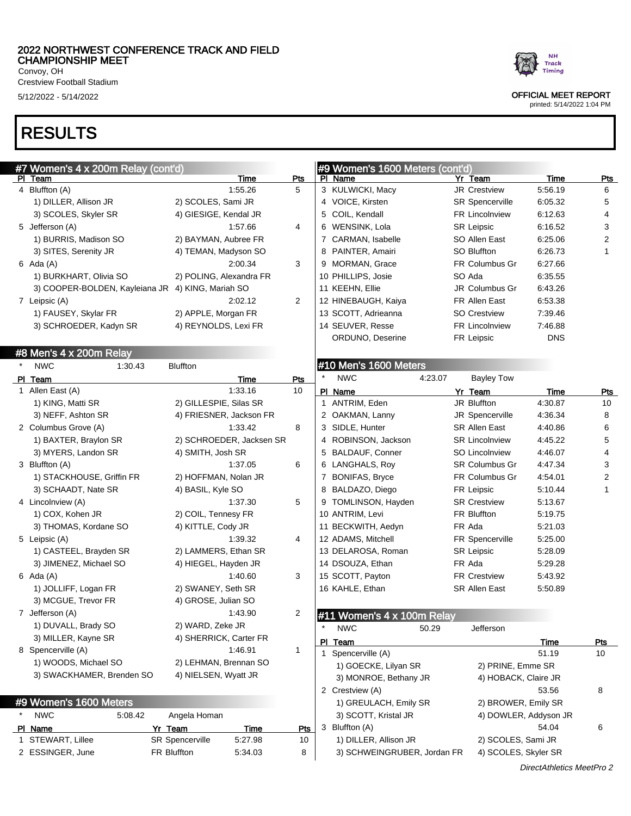$300 \times R_{\text{max}}$ 

Crestview Football Stadium

# RESULTS

| #7 vvomen's 4 x 200m Relay (cont d)               |                                   |                 | I#9 WOMEN'S TOUU MEters (CONTQ) |                                |                        |                 |
|---------------------------------------------------|-----------------------------------|-----------------|---------------------------------|--------------------------------|------------------------|-----------------|
| PI Team<br>4 Bluffton (A)                         | Time<br>1:55.26                   | <u>Pts</u><br>5 | PI Name<br>3 KULWICKI, Macy     | Yr Team<br><b>JR Crestview</b> | <b>Time</b><br>5:56.19 | <b>Pts</b><br>6 |
|                                                   |                                   |                 |                                 |                                | 6:05.32                |                 |
| 1) DILLER, Allison JR                             | 2) SCOLES, Sami JR                |                 | 4 VOICE, Kirsten                | <b>SR Spencerville</b>         |                        | 5               |
| 3) SCOLES, Skyler SR                              | 4) GIESIGE, Kendal JR             |                 | 5 COIL, Kendall                 | <b>FR Lincolnview</b>          | 6:12.63                | 4               |
| 5 Jefferson (A)                                   | 1:57.66                           | 4               | 6 WENSINK, Lola                 | <b>SR Leipsic</b>              | 6:16.52                | 3               |
| 1) BURRIS, Madison SO                             | 2) BAYMAN, Aubree FR              |                 | 7 CARMAN, Isabelle              | SO Allen East                  | 6:25.06                | $\overline{2}$  |
| 3) SITES, Serenity JR                             | 4) TEMAN, Madyson SO              |                 | 8 PAINTER, Amairi               | <b>SO Bluffton</b>             | 6:26.73                | $\mathbf{1}$    |
| $6$ Ada $(A)$                                     | 2:00.34                           | 3               | 9 MORMAN, Grace                 | FR Columbus Gr                 | 6:27.66                |                 |
| 1) BURKHART, Olivia SO                            | 2) POLING, Alexandra FR           |                 | 10 PHILLIPS, Josie              | SO Ada                         | 6:35.55                |                 |
| 3) COOPER-BOLDEN, Kayleiana JR 4) KING, Mariah SO |                                   |                 | 11 KEEHN, Ellie                 | JR Columbus Gr                 | 6:43.26                |                 |
| 7 Leipsic (A)                                     | 2:02.12                           | 2               | 12 HINEBAUGH, Kaiya             | FR Allen East                  | 6:53.38                |                 |
| 1) FAUSEY, Skylar FR                              | 2) APPLE, Morgan FR               |                 | 13 SCOTT, Adrieanna             | <b>SO Crestview</b>            | 7:39.46                |                 |
| 3) SCHROEDER, Kadyn SR                            | 4) REYNOLDS, Lexi FR              |                 | 14 SEUVER, Resse                | <b>FR Lincolnview</b>          | 7:46.88                |                 |
|                                                   |                                   |                 | ORDUNO, Deserine                | FR Leipsic                     | <b>DNS</b>             |                 |
| #8 Men's 4 x 200m Relay                           |                                   |                 |                                 |                                |                        |                 |
| <b>NWC</b><br>1:30.43                             | <b>Bluffton</b>                   |                 | #10 Men's 1600 Meters           |                                |                        |                 |
| PI Team                                           | Time                              | Pts             | <b>NWC</b><br>4:23.07           | <b>Bayley Tow</b>              |                        |                 |
| 1 Allen East (A)                                  | 1:33.16                           | 10              | PI Name                         | Yr Team                        | Time                   | <b>Pts</b>      |
| 1) KING, Matti SR                                 | 2) GILLESPIE, Silas SR            |                 | 1 ANTRIM, Eden                  | JR Bluffton                    | 4:30.87                | 10              |
| 3) NEFF, Ashton SR                                | 4) FRIESNER, Jackson FR           |                 | 2 OAKMAN, Lanny                 | JR Spencerville                | 4:36.34                | 8               |
| 2 Columbus Grove (A)                              | 1:33.42                           | 8               | 3 SIDLE, Hunter                 | SR Allen East                  | 4:40.86                | 6               |
| 1) BAXTER, Braylon SR                             | 2) SCHROEDER, Jacksen SR          |                 | 4 ROBINSON, Jackson             | <b>SR Lincolnview</b>          | 4:45.22                | 5               |
| 3) MYERS, Landon SR                               | 4) SMITH, Josh SR                 |                 | 5 BALDAUF, Conner               | <b>SO Lincolnview</b>          | 4:46.07                | 4               |
| 3 Bluffton (A)                                    | 1:37.05                           | 6               | 6 LANGHALS, Roy                 | <b>SR Columbus Gr</b>          | 4:47.34                | 3               |
| 1) STACKHOUSE, Griffin FR                         | 2) HOFFMAN, Nolan JR              |                 | 7 BONIFAS, Bryce                | FR Columbus Gr                 | 4:54.01                | 2               |
| 3) SCHAADT, Nate SR                               | 4) BASIL, Kyle SO                 |                 | 8 BALDAZO, Diego                | <b>FR Leipsic</b>              | 5:10.44                | $\mathbf{1}$    |
| 4 Lincolnview (A)                                 | 1:37.30                           | 5               | 9 TOMLINSON, Hayden             | <b>SR Crestview</b>            | 5:13.67                |                 |
| 1) COX, Kohen JR                                  | 2) COIL, Tennesy FR               |                 | 10 ANTRIM, Levi                 | FR Bluffton                    | 5:19.75                |                 |
| 3) THOMAS, Kordane SO                             | 4) KITTLE, Cody JR                |                 | 11 BECKWITH, Aedyn              | FR Ada                         | 5:21.03                |                 |
| 5 Leipsic (A)                                     | 1:39.32                           | 4               | 12 ADAMS, Mitchell              | FR Spencerville                | 5:25.00                |                 |
| 1) CASTEEL, Brayden SR                            | 2) LAMMERS, Ethan SR              |                 | 13 DELAROSA, Roman              | <b>SR Leipsic</b>              | 5:28.09                |                 |
| 3) JIMENEZ, Michael SO                            | 4) HIEGEL, Hayden JR              |                 | 14 DSOUZA, Ethan                | FR Ada                         | 5:29.28                |                 |
| $6$ Ada $(A)$                                     | 1:40.60                           | 3               | 15 SCOTT, Payton                | <b>FR Crestview</b>            | 5:43.92                |                 |
|                                                   | 2) SWANEY, Seth SR                |                 |                                 |                                |                        |                 |
| 1) JOLLIFF, Logan FR                              |                                   |                 | 16 KAHLE, Ethan                 | SR Allen East                  | 5:50.89                |                 |
| 3) MCGUE, Trevor FR                               | 4) GROSE, Julian SO               |                 |                                 |                                |                        |                 |
| 7 Jefferson (A)                                   | 1:43.90                           | 2               | #11 Women's 4 x 100m Relay      |                                |                        |                 |
| 1) DUVALL, Brady SO                               | 2) WARD, Zeke JR                  |                 | $\star$<br><b>NWC</b><br>50.29  | Jefferson                      |                        |                 |
| 3) MILLER, Kayne SR                               | 4) SHERRICK, Carter FR            |                 | PI Team                         |                                | <b>Time</b>            | <u>Pts</u>      |
| 8 Spencerville (A)                                | 1:46.91                           | $\mathbf{1}$    | 1 Spencerville (A)              |                                | 51.19                  | 10              |
| 1) WOODS, Michael SO                              | 2) LEHMAN, Brennan SO             |                 | 1) GOECKE, Lilyan SR            | 2) PRINE, Emme SR              |                        |                 |
| 3) SWACKHAMER, Brenden SO                         | 4) NIELSEN, Wyatt JR              |                 | 3) MONROE, Bethany JR           | 4) HOBACK, Claire JR           |                        |                 |
|                                                   |                                   |                 | 2 Crestview (A)                 |                                | 53.56                  | 8               |
| #9 Women's 1600 Meters                            |                                   |                 | 1) GREULACH, Emily SR           | 2) BROWER, Emily SR            |                        |                 |
| <b>NWC</b><br>5:08.42                             | Angela Homan                      |                 | 3) SCOTT, Kristal JR            |                                | 4) DOWLER, Addyson JR  |                 |
| PI Name                                           | <u>Time</u><br>Yr Team            | <u>Pts</u>      | 3 Bluffton (A)                  |                                | 54.04                  | 6               |
| 1 STEWART, Lillee                                 | <b>SR Spencerville</b><br>5:27.98 | 10              | 1) DILLER, Allison JR           | 2) SCOLES, Sami JR             |                        |                 |
| 2 ESSINGER, June                                  | FR Bluffton<br>5:34.03            | 8               | 3) SCHWEINGRUBER, Jordan FR     | 4) SCOLES, Skyler SR           |                        |                 |
|                                                   |                                   |                 |                                 |                                |                        |                 |

 $\frac{1}{2}$  Women's 1000 Meters (contains)



# 5/12/2022 - 5/14/2022 OFFICIAL MEET REPORT

printed: 5/14/2022 1:04 PM

DirectAthletics MeetPro 2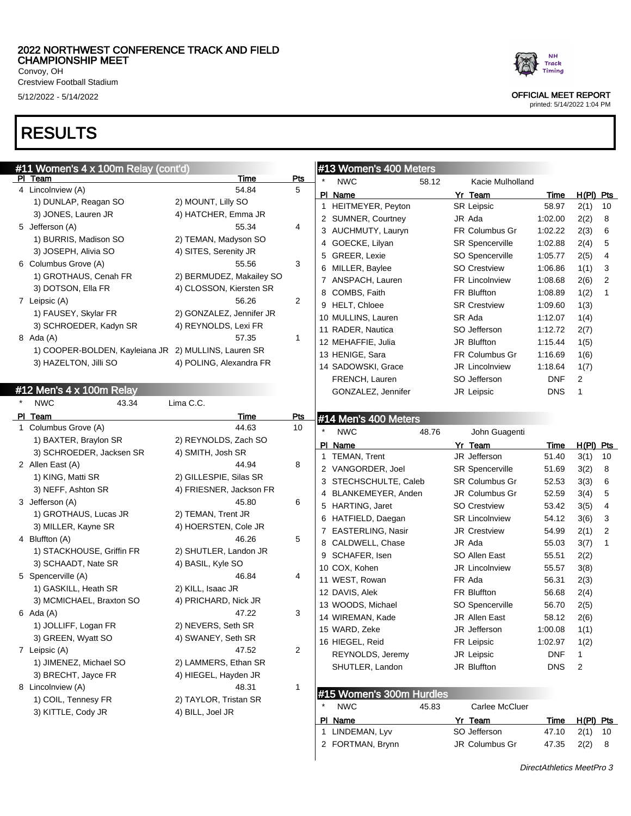Crestview Football Stadium

# RESULTS

| #11 Women's 4 x 100m Relay (cont'd)                  |                          |                |         | #13 Women's 400 Meters   |       |                         |               |                |                         |
|------------------------------------------------------|--------------------------|----------------|---------|--------------------------|-------|-------------------------|---------------|----------------|-------------------------|
| PI Team                                              | Time                     | Pts            |         | <b>NWC</b>               | 58.12 | Kacie Mulholland        |               |                |                         |
| 4 Lincolnview (A)                                    | 54.84                    | 5              |         | PI Name                  |       | Yr Team                 | Time          | $H(PI)$ Pts    |                         |
| 1) DUNLAP, Reagan SO                                 | 2) MOUNT, Lilly SO       |                |         | 1 HEITMEYER, Peyton      |       | <b>SR Leipsic</b>       | 58.97         | 2(1)           | 10                      |
| 3) JONES, Lauren JR                                  | 4) HATCHER, Emma JR      |                |         | 2 SUMNER, Courtney       |       | JR Ada                  | 1:02.00       | 2(2)           | 8                       |
| 5 Jefferson (A)                                      | 55.34                    | 4              |         | 3 AUCHMUTY, Lauryn       |       | FR Columbus Gr          | 1:02.22       | 2(3)           | 6                       |
| 1) BURRIS, Madison SO                                | 2) TEMAN, Madyson SO     |                |         | 4 GOECKE, Lilyan         |       | <b>SR Spencerville</b>  | 1:02.88       | 2(4)           | 5                       |
| 3) JOSEPH, Alivia SO                                 | 4) SITES, Serenity JR    |                |         | 5 GREER, Lexie           |       | SO Spencerville         | 1:05.77       | 2(5)           | $\overline{4}$          |
| 6 Columbus Grove (A)                                 | 55.56                    | 3              |         | 6 MILLER, Baylee         |       | <b>SO Crestview</b>     | 1:06.86       | 1(1)           | 3                       |
| 1) GROTHAUS, Cenah FR                                | 2) BERMUDEZ, Makailey SO |                |         | 7 ANSPACH, Lauren        |       | <b>FR Lincolnview</b>   | 1:08.68       | 2(6)           | $\overline{2}$          |
| 3) DOTSON, Ella FR                                   | 4) CLOSSON, Kiersten SR  |                |         | 8 COMBS, Faith           |       | FR Bluffton             | 1:08.89       | 1(2)           | 1                       |
| 7 Leipsic (A)                                        | 56.26                    | 2              |         | 9 HELT, Chloee           |       | <b>SR Crestview</b>     | 1:09.60       | 1(3)           |                         |
| 1) FAUSEY, Skylar FR                                 | 2) GONZALEZ, Jennifer JR |                |         | 10 MULLINS, Lauren       |       | SR Ada                  | 1:12.07       | 1(4)           |                         |
| 3) SCHROEDER, Kadyn SR                               | 4) REYNOLDS, Lexi FR     |                |         | 11 RADER, Nautica        |       | SO Jefferson            | 1:12.72       | 2(7)           |                         |
| 8 Ada (A)                                            | 57.35                    | $\mathbf{1}$   |         | 12 MEHAFFIE, Julia       |       | JR Bluffton             | 1:15.44       | 1(5)           |                         |
| 1) COOPER-BOLDEN, Kayleiana JR 2) MULLINS, Lauren SR |                          |                |         | 13 HENIGE, Sara          |       | FR Columbus Gr          | 1:16.69       | 1(6)           |                         |
| 3) HAZELTON, Jilli SO                                | 4) POLING, Alexandra FR  |                |         | 14 SADOWSKI, Grace       |       | <b>JR Lincolnview</b>   | 1:18.64       | 1(7)           |                         |
|                                                      |                          |                |         | FRENCH, Lauren           |       | SO Jefferson            | <b>DNF</b>    | $\overline{c}$ |                         |
| #12 Men's 4 x 100m Relay                             |                          |                |         |                          |       |                         |               | $\mathbf{1}$   |                         |
| <b>NWC</b><br>43.34                                  | Lima C.C.                |                |         | GONZALEZ, Jennifer       |       | JR Leipsic              | <b>DNS</b>    |                |                         |
| PI Team                                              | <b>Time</b>              | Pts            |         | #14 Men's 400 Meters     |       |                         |               |                |                         |
| 1 Columbus Grove (A)                                 | 44.63                    | 10             | $\star$ | <b>NWC</b>               | 48.76 | John Guagenti           |               |                |                         |
| 1) BAXTER, Braylon SR                                | 2) REYNOLDS, Zach SO     |                |         |                          |       |                         |               |                |                         |
| 3) SCHROEDER, Jacksen SR                             | 4) SMITH, Josh SR        |                |         | PI Name                  |       | Yr Team<br>JR Jefferson | Time<br>51.40 | H(PI) Pts      | 10                      |
| 2 Allen East (A)                                     | 44.94                    | 8              |         | 1 TEMAN, Trent           |       |                         |               | 3(1)           |                         |
| 1) KING, Matti SR                                    | 2) GILLESPIE, Silas SR   |                |         | 2 VANGORDER, Joel        |       | <b>SR Spencerville</b>  | 51.69         | 3(2)           | 8                       |
| 3) NEFF, Ashton SR                                   | 4) FRIESNER, Jackson FR  |                |         | 3 STECHSCHULTE, Caleb    |       | <b>SR Columbus Gr</b>   | 52.53         | 3(3)           | 6                       |
| 3 Jefferson (A)                                      | 45.80                    | 6              |         | 4 BLANKEMEYER, Anden     |       | JR Columbus Gr          | 52.59         | 3(4)           | 5                       |
| 1) GROTHAUS, Lucas JR                                | 2) TEMAN, Trent JR       |                |         | 5 HARTING, Jaret         |       | <b>SO Crestview</b>     | 53.42         | 3(5)           | $\overline{\mathbf{4}}$ |
| 3) MILLER, Kayne SR                                  | 4) HOERSTEN, Cole JR     |                |         | 6 HATFIELD, Daegan       |       | <b>SR Lincolnview</b>   | 54.12         | 3(6)           | 3                       |
| 4 Bluffton (A)                                       | 46.26                    | 5              |         | 7 EASTERLING, Nasir      |       | JR Crestview            | 54.99         | 2(1)           | $\overline{2}$          |
| 1) STACKHOUSE, Griffin FR                            | 2) SHUTLER, Landon JR    |                |         | 8 CALDWELL, Chase        |       | JR Ada                  | 55.03         | 3(7)           | $\mathbf{1}$            |
| 3) SCHAADT, Nate SR                                  | 4) BASIL, Kyle SO        |                |         | 9 SCHAFER, Isen          |       | SO Allen East           | 55.51         | 2(2)           |                         |
| 5 Spencerville (A)                                   | 46.84                    | 4              |         | 10 COX, Kohen            |       | JR Lincolnview          | 55.57         | 3(8)           |                         |
| 1) GASKILL, Heath SR                                 | 2) KILL, Isaac JR        |                |         | 11 WEST, Rowan           |       | FR Ada                  | 56.31         | 2(3)           |                         |
| 3) MCMICHAEL, Braxton SO                             | 4) PRICHARD, Nick JR     |                |         | 12 DAVIS, Alek           |       | FR Bluffton             | 56.68         | 2(4)           |                         |
| $6$ Ada $(A)$                                        | 47.22                    | 3              |         | 13 WOODS, Michael        |       | SO Spencerville         | 56.70         | 2(5)           |                         |
|                                                      |                          |                |         | 14 WIREMAN, Kade         |       | JR Allen East           | 58.12         | 2(6)           |                         |
| 1) JOLLIFF, Logan FR                                 | 2) NEVERS, Seth SR       |                |         | 15 WARD, Zeke            |       | JR Jefferson            | 1:00.08       | 1(1)           |                         |
| 3) GREEN, Wyatt SO                                   | 4) SWANEY, Seth SR       |                |         | 16 HIEGEL, Reid          |       | FR Leipsic              | 1:02.97       | 1(2)           |                         |
| 7 Leipsic (A)                                        | 47.52                    | $\overline{c}$ |         | REYNOLDS, Jeremy         |       | JR Leipsic              | <b>DNF</b>    | 1              |                         |
| 1) JIMENEZ, Michael SO                               | 2) LAMMERS, Ethan SR     |                |         | SHUTLER, Landon          |       | JR Bluffton             | <b>DNS</b>    | $\overline{2}$ |                         |
| 3) BRECHT, Jayce FR                                  | 4) HIEGEL, Hayden JR     |                |         |                          |       |                         |               |                |                         |
| 8 Lincolnview (A)                                    | 48.31                    | 1              |         | #15 Women's 300m Hurdles |       |                         |               |                |                         |
| 1) COIL, Tennesy FR                                  | 2) TAYLOR, Tristan SR    |                |         | <b>NWC</b>               | 45.83 | Carlee McCluer          |               |                |                         |
| 3) KITTLE, Cody JR                                   | 4) BILL, Joel JR         |                |         | PI Name                  |       | Yr Team                 | <u>Time</u>   | $H(PI)$ Pts    |                         |
|                                                      |                          |                |         | 1 LINDEMAN, Lyv          |       | SO Jefferson            | 47.10         | $2(1)$ 10      |                         |



5/12/2022 - 5/14/2022 OFFICIAL MEET REPORT

printed: 5/14/2022 1:04 PM

2 FORTMAN, Brynn JR Columbus Gr 47.35 2(2) 8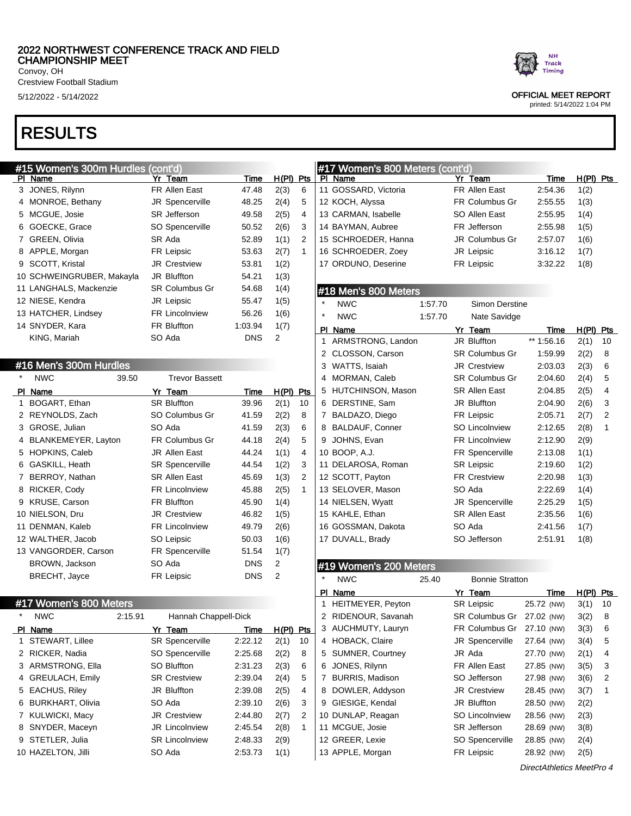Crestview Football Stadium

# RESULTS

## #15 Women's 300m Hurdles (cont'd)

| PI | Name                      | Yr Team               | Time       | H(PI) | Pts |
|----|---------------------------|-----------------------|------------|-------|-----|
|    | 3 JONES, Rilynn           | FR Allen East         | 47.48      | 2(3)  | 6   |
| 4  | MONROE, Bethany           | JR Spencerville       | 48.25      | 2(4)  | 5   |
| 5  | MCGUE, Josie              | <b>SR</b> Jefferson   | 49.58      | 2(5)  | 4   |
| 6  | GOECKE, Grace             | SO Spencerville       | 50.52      | 2(6)  | 3   |
| 7  | GREEN, Olivia             | SR Ada                | 52.89      | 1(1)  | 2   |
|    | 8 APPLE, Morgan           | <b>FR Leipsic</b>     | 53.63      | 2(7)  | 1   |
|    | 9 SCOTT, Kristal          | <b>JR Crestview</b>   | 53.81      | 1(2)  |     |
|    | 10 SCHWEINGRUBER, Makayla | <b>JR Bluffton</b>    | 54.21      | 1(3)  |     |
|    | 11 LANGHALS, Mackenzie    | <b>SR Columbus Gr</b> | 54.68      | 1(4)  |     |
|    | 12 NIESE, Kendra          | <b>JR Leipsic</b>     | 55.47      | 1(5)  |     |
|    | 13 HATCHER, Lindsey       | <b>FR Lincolnview</b> | 56.26      | 1(6)  |     |
|    | 14 SNYDER, Kara           | <b>FR Bluffton</b>    | 1:03.94    | 1(7)  |     |
|    | KING, Mariah              | SO Ada                | <b>DNS</b> | 2     |     |
|    |                           |                       |            |       |     |

## #16 Men's 300m Hurdles

| $\star$ | <b>NWC</b>            | 39.50 | <b>Trevor Bassett</b>  |            |       |     |
|---------|-----------------------|-------|------------------------|------------|-------|-----|
| PI      | Name                  |       | Yr Team                | Time       | H(PI) | Pts |
| 1       | BOGART, Ethan         |       | <b>SR Bluffton</b>     | 39.96      | 2(1)  | 10  |
| 2       | REYNOLDS, Zach        |       | SO Columbus Gr         | 41.59      | 2(2)  | 8   |
| 3       | GROSE, Julian         |       | SO Ada                 | 41.59      | 2(3)  | 6   |
| 4       | BLANKEMEYER, Layton   |       | <b>FR Columbus Gr</b>  | 44.18      | 2(4)  | 5   |
| 5       | <b>HOPKINS, Caleb</b> |       | <b>JR Allen East</b>   | 44.24      | 1(1)  | 4   |
| 6       | GASKILL, Heath        |       | <b>SR Spencerville</b> | 44.54      | 1(2)  | 3   |
| 7       | BERROY, Nathan        |       | <b>SR Allen East</b>   | 45.69      | 1(3)  | 2   |
| 8       | RICKER, Cody          |       | <b>FR Lincolnview</b>  | 45.88      | 2(5)  | 1   |
| 9       | KRUSE, Carson         |       | <b>FR Bluffton</b>     | 45.90      | 1(4)  |     |
|         | 10 NIELSON, Dru       |       | <b>JR Crestview</b>    | 46.82      | 1(5)  |     |
|         | 11 DENMAN, Kaleb      |       | <b>FR Lincolnview</b>  | 49.79      | 2(6)  |     |
|         | 12 WALTHER, Jacob     |       | SO Leipsic             | 50.03      | 1(6)  |     |
|         | 13 VANGORDER, Carson  |       | <b>FR Spencerville</b> | 51.54      | 1(7)  |     |
|         | BROWN, Jackson        |       | SO Ada                 | <b>DNS</b> | 2     |     |
|         | <b>BRECHT, Jayce</b>  |       | FR Leipsic             | DNS        | 2     |     |
|         |                       |       |                        |            |       |     |

### #17 Women's 800 Meters

| <b>NWC</b>         | 2:15.91 | Hannah Chappell-Dick   |         |             |    | 2 RIDENOUR, Savanah    | SR Columbus Gr 27.02 (NW) |            | 3(2) |
|--------------------|---------|------------------------|---------|-------------|----|------------------------|---------------------------|------------|------|
| PI Name            |         | Yr Team                | Time    | $H(PI)$ Pts |    | 3 AUCHMUTY, Lauryn     | FR Columbus Gr            | 27.10 (NW) | 3(3) |
| 1 STEWART, Lillee  |         | <b>SR Spencerville</b> | 2:22.12 | 2(1)        | 10 | 4 HOBACK, Claire       | JR Spencerville           | 27.64 (NW) | 3(4) |
| 2 RICKER, Nadia    |         | SO Spencerville        | 2:25.68 | 2(2)        | 8  | 5 SUMNER, Courtney     | JR Ada                    | 27.70 (NW) | 2(1) |
| 3 ARMSTRONG, Ella  |         | SO Bluffton            | 2:31.23 | 2(3)        | 6  | 6 JONES, Rilvnn        | FR Allen East             | 27.85 (NW) | 3(5) |
| 4 GREULACH, Emily  |         | <b>SR Crestview</b>    | 2:39.04 | 2(4)        | 5  | <b>BURRIS, Madison</b> | SO Jefferson              | 27.98 (NW) | 3(6) |
| 5 EACHUS, Riley    |         | JR Bluffton            | 2:39.08 | 2(5)        | 4  | 8 DOWLER, Addyson      | <b>JR Crestview</b>       | 28.45 (NW) | 3(7) |
| 6 BURKHART, Olivia |         | SO Ada                 | 2:39.10 | 2(6)        | 3  | 9 GIESIGE, Kendal      | JR Bluffton               | 28.50 (NW) | 2(2) |
| 7 KULWICKI, Macy   |         | <b>JR Crestview</b>    | 2:44.80 | 2(7)        | 2  | 10 DUNLAP, Reagan      | <b>SO Lincolnview</b>     | 28.56 (NW) | 2(3) |
| 8 SNYDER, Maceyn   |         | <b>JR Lincolnview</b>  | 2:45.54 | 2(8)        |    | 11 MCGUE, Josie        | <b>SR</b> Jefferson       | 28.69 (NW) | 3(8) |
| 9 STETLER, Julia   |         | <b>SR Lincolnview</b>  | 2:48.33 | 2(9)        |    | 12 GREER, Lexie        | SO Spencerville           | 28.85 (NW) | 2(4) |
| 10 HAZELTON, Jilli |         | SO Ada                 | 2:53.73 | 1(1)        |    | 13 APPLE, Morgan       | FR Leipsic                | 28.92 (NW) | 2(5) |

## #17 Women's 800 Meters (cont'd) PI Name Yr Team Time H(PI) Pts GOSSARD, Victoria FR Allen East 2:54.36 1(2) KOCH, Alyssa FR Columbus Gr 2:55.55 1(3) CARMAN, Isabelle SO Allen East 2:55.95 1(4) BAYMAN, Aubree FR Jefferson 2:55.98 1(5) SCHROEDER, Hanna JR Columbus Gr 2:57.07 1(6) SCHROEDER, Zoey JR Leipsic 3:16.12 1(7) ORDUNO, Deserine FR Leipsic 3:32.22 1(8) #18 Men's 800 Meters NWC 1:57.70 Simon Derstine NWC 1:57.70 Nate Savidge PI Name Yr Team Time H(PI) Pts ARMSTRONG, Landon JR Bluffton \*\* 1:56.16 2(1) 10 2 CLOSSON, Carson SR Columbus Gr 1:59.99 2(2) 8 WATTS, Isaiah JR Crestview 2:03.03 2(3) 6 MORMAN, Caleb SR Columbus Gr 2:04.60 2(4) 5 HUTCHINSON, Mason SR Allen East 2:04.85 2(5) 4 DERSTINE, Sam JR Bluffton 2:04.90 2(6) 3 BALDAZO, Diego FR Leipsic 2:05.71 2(7) 2 BALDAUF, Conner SO Lincolnview 2:12.65 2(8) 1 JOHNS, Evan FR Lincolnview 2:12.90 2(9) BOOP, A.J. FR Spencerville 2:13.08 1(1) 11 DELAROSA, Roman SR Leipsic 2:19.60 1(2) SCOTT, Payton FR Crestview 2:20.98 1(3) 13 SELOVER, Mason SO Ada 2:22.69 1(4) NIELSEN, Wyatt JR Spencerville 2:25.29 1(5) KAHLE, Ethan SR Allen East 2:35.56 1(6) GOSSMAN, Dakota SO Ada 2:41.56 1(7) DUVALL, Brady SO Jefferson 2:51.91 1(8) #19 Women's 200 Meters NWC 25.40 Bonnie Stratton PI Name Yr Team Time H(PI) Pts HEITMEYER, Peyton SR Leipsic 25.72 (NW) 3(1) 10 2 RIDENOUR, Savanah SR Columbus Gr 27.02 (NW) 3(2) 8 AUCHMUTY, Lauryn FR Columbus Gr 27.10 (NW) 3(3) 6 4 HOBACK, Claire **JR** Spencerville 27.64 (NW) 3(4) 5 SUMNER, Courtney JR Ada 27.70 (NW) 2(1) 4 JONES, Rilynn FR Allen East 27.85 (NW) 3(5) 3

7 BURRIS, Madison SO Jefferson 27.98 (NW) 3(6) 2 8 DOWLER, Addyson JR Crestview 28.45 (NW) 3(7) 1 GIESIGE, Kendal JR Bluffton 28.50 (NW) 2(2)



## 5/12/2022 - 5/14/2022 OFFICIAL MEET REPORT

printed: 5/14/2022 1:04 PM

DirectAthletics MeetPro 4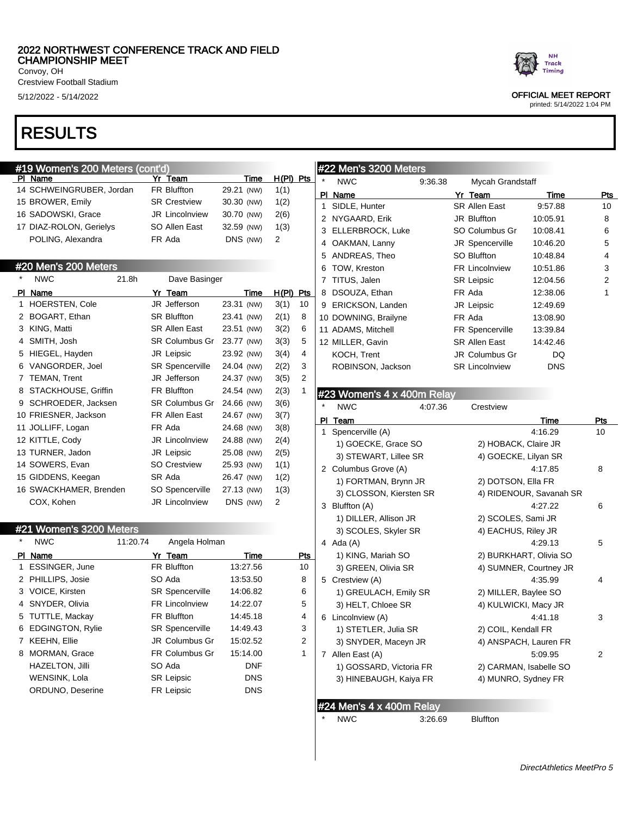Crestview Football Stadium

# RESULTS

| #19 Women's 200 Meters (cont'd) |                           |            |             |                         |         | #22 Men's 3200 Meters            |         |                       |                         |     |
|---------------------------------|---------------------------|------------|-------------|-------------------------|---------|----------------------------------|---------|-----------------------|-------------------------|-----|
| PI Name                         | Yr Team                   | Time       | $H(PI)$ Pts |                         |         | <b>NWC</b>                       | 9:36.38 | Mycah Grandstaff      |                         |     |
| 14 SCHWEINGRUBER, Jordan        | <b>FR Bluffton</b>        | 29.21 (NW) | 1(1)        |                         |         | PI Name                          |         | Yr_Team               | Time                    | Pts |
| 15 BROWER, Emily                | <b>SR Crestview</b>       | 30.30 (NW) | 1(2)        |                         |         | 1 SIDLE, Hunter                  |         | SR Allen East         | 9:57.88                 | 10  |
| 16 SADOWSKI, Grace              | <b>JR Lincolnview</b>     | 30.70 (NW) | 2(6)        |                         |         | 2 NYGAARD, Erik                  |         | JR Bluffton           | 10:05.91                | 8   |
| 17 DIAZ-ROLON, Gerielys         | SO Allen East             | 32.59 (NW) | 1(3)        |                         |         | 3 ELLERBROCK, Luke               |         | SO Columbus Gr        | 10:08.41                | 6   |
| POLING, Alexandra               | FR Ada                    | DNS (NW)   | 2           |                         |         | 4 OAKMAN, Lanny                  |         | JR Spencerville       | 10:46.20                | 5   |
|                                 |                           |            |             |                         |         | 5 ANDREAS, Theo                  |         | <b>SO Bluffton</b>    | 10:48.84                | 4   |
| #20 Men's 200 Meters            |                           |            |             |                         | 6       | TOW, Kreston                     |         | <b>FR Lincolnview</b> | 10:51.86                | 3   |
| <b>NWC</b>                      | 21.8h<br>Dave Basinger    |            |             |                         |         | 7 TITUS, Jalen                   |         | <b>SR Leipsic</b>     | 12:04.56                | 2   |
| PI Name                         | Yr Team                   | Time       | H(PI) Pts   |                         |         | 8 DSOUZA, Ethan                  |         | FR Ada                | 12:38.06                | 1   |
| 1 HOERSTEN, Cole                | JR Jefferson              | 23.31 (NW) | 3(1)        | 10                      |         | 9 ERICKSON, Landen               |         | JR Leipsic            | 12:49.69                |     |
| 2 BOGART, Ethan                 | <b>SR Bluffton</b>        | 23.41 (NW) | 2(1)        | 8                       |         | 10 DOWNING, Brailyne             |         | FR Ada                | 13:08.90                |     |
| 3 KING, Matti                   | <b>SR Allen East</b>      | 23.51 (NW) | 3(2)        | 6                       |         | 11 ADAMS, Mitchell               |         | FR Spencerville       | 13:39.84                |     |
| 4 SMITH, Josh                   | SR Columbus Gr 23.77 (NW) |            | 3(3)        | 5                       |         | 12 MILLER, Gavin                 |         | <b>SR Allen East</b>  | 14:42.46                |     |
| 5 HIEGEL, Hayden                | JR Leipsic                | 23.92 (NW) | 3(4)        | 4                       |         | KOCH, Trent                      |         | JR Columbus Gr        | DQ                      |     |
| 6 VANGORDER, Joel               | <b>SR Spencerville</b>    | 24.04 (NW) | 2(2)        | 3                       |         | ROBINSON, Jackson                |         | <b>SR Lincolnview</b> | <b>DNS</b>              |     |
| 7 TEMAN, Trent                  | JR Jefferson              | 24.37 (NW) | 3(5)        | $\overline{\mathbf{c}}$ |         |                                  |         |                       |                         |     |
| 8 STACKHOUSE, Griffin           | <b>FR Bluffton</b>        | 24.54 (NW) | 2(3)        | 1                       |         | #23 Women's 4 x 400m Relay       |         |                       |                         |     |
| 9 SCHROEDER, Jacksen            | SR Columbus Gr 24.66 (NW) |            | 3(6)        |                         | $\star$ | <b>NWC</b>                       | 4:07.36 | Crestview             |                         |     |
| 10 FRIESNER, Jackson            | FR Allen East             | 24.67 (NW) | 3(7)        |                         |         | PI Team                          |         |                       | Time                    | Pts |
| 11 JOLLIFF, Logan               | FR Ada                    | 24.68 (NW) | 3(8)        |                         |         | 1 Spencerville (A)               |         |                       | 4:16.29                 | 10  |
| 12 KITTLE, Cody                 | JR Lincolnview            | 24.88 (NW) | 2(4)        |                         |         | 1) GOECKE, Grace SO              |         | 2) HOBACK, Claire JR  |                         |     |
| 13 TURNER, Jadon                | JR Leipsic                | 25.08 (NW) | 2(5)        |                         |         | 3) STEWART, Lillee SR            |         | 4) GOECKE, Lilyan SR  |                         |     |
| 14 SOWERS, Evan                 | <b>SO Crestview</b>       | 25.93 (NW) | 1(1)        |                         |         | 2 Columbus Grove (A)             |         |                       | 4:17.85                 | 8   |
| 15 GIDDENS, Keegan              | SR Ada                    | 26.47 (NW) | 1(2)        |                         |         | 1) FORTMAN, Brynn JR             |         | 2) DOTSON, Ella FR    |                         |     |
| 16 SWACKHAMER, Brenden          | SO Spencerville           | 27.13 (NW) | 1(3)        |                         |         | 3) CLOSSON, Kiersten SR          |         |                       | 4) RIDENOUR, Savanah SR |     |
| COX, Kohen                      | JR Lincolnview            | DNS (NW)   | 2           |                         |         | 3 Bluffton (A)                   |         |                       | 4:27.22                 | 6   |
|                                 |                           |            |             |                         |         | 1) DILLER, Allison JR            |         | 2) SCOLES, Sami JR    |                         |     |
| #21 Women's 3200 Meters         |                           |            |             |                         |         | 3) SCOLES, Skyler SR             |         | 4) EACHUS, Riley JR   |                         |     |
| <b>NWC</b>                      | 11:20.74<br>Angela Holman |            |             |                         |         | 4 Ada (A)                        |         |                       | 4:29.13                 | 5   |
| PI Name                         | Yr Team                   | Time       |             | <u>Pts</u>              |         | 1) KING, Mariah SO               |         |                       | 2) BURKHART, Olivia SO  |     |
| 1 ESSINGER, June                | <b>FR Bluffton</b>        | 13:27.56   |             | 10                      |         | 3) GREEN, Olivia SR              |         |                       | 4) SUMNER, Courtney JR  |     |
| 2 PHILLIPS, Josie               | SO Ada                    | 13:53.50   |             | 8                       |         | 5 Crestview (A)                  |         |                       | 4:35.99                 | 4   |
| 3 VOICE, Kirsten                | <b>SR Spencerville</b>    | 14:06.82   |             | 6                       |         | 1) GREULACH, Emily SR            |         | 2) MILLER, Baylee SO  |                         |     |
| 4 SNYDER, Olivia                | <b>FR Lincolnview</b>     | 14:22.07   |             | 5                       |         | 3) HELT, Chloee SR               |         | 4) KULWICKI, Macy JR  |                         |     |
| 5 TUTTLE, Mackay                | FR Bluffton               | 14:45.18   |             | 4                       |         | 6 Lincolnview (A)                |         |                       | 4:41.18                 | 3   |
| 6 EDGINGTON, Rylie              | SR Spencerville           | 14:49.43   |             | 3                       |         | 1) STETLER, Julia SR             |         | 2) COIL, Kendall FR   |                         |     |
| 7 KEEHN, Ellie                  | JR Columbus Gr            | 15:02.52   |             | 2                       |         | 3) SNYDER, Maceyn JR             |         |                       | 4) ANSPACH, Lauren FR   |     |
| 8 MORMAN, Grace                 | FR Columbus Gr            | 15:14.00   |             | 1                       |         | 7 Allen East (A)                 |         |                       | 5:09.95                 | 2   |
| <b>HAZELTON, Jilli</b>          | SO Ada                    | <b>DNF</b> |             |                         |         | 1) GOSSARD, Victoria FR          |         |                       | 2) CARMAN, Isabelle SO  |     |
| WENSINK, Lola                   | <b>SR Leipsic</b>         | <b>DNS</b> |             |                         |         | 3) HINEBAUGH, Kaiya FR           |         | 4) MUNRO, Sydney FR   |                         |     |
| ORDUNO, Deserine                | FR Leipsic                | <b>DNS</b> |             |                         |         |                                  |         |                       |                         |     |
|                                 |                           |            |             |                         |         | #24 Men's $4 \times 400$ m Relay |         |                       |                         |     |

NWC 3:26.69 Bluffton



5/12/2022 - 5/14/2022 OFFICIAL MEET REPORT

printed: 5/14/2022 1:04 PM